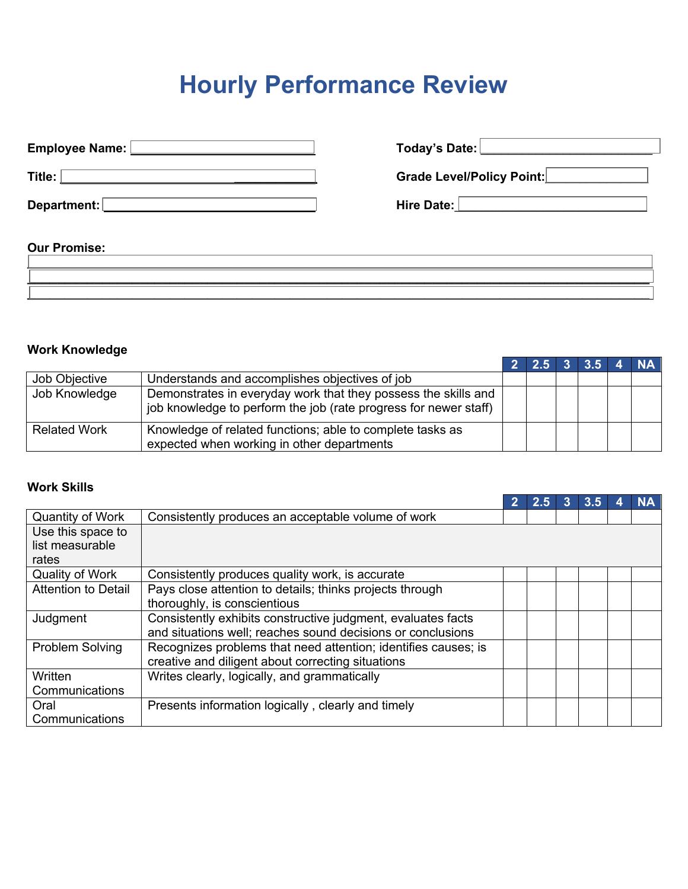# **Hourly Performance Review**

| Employee Name: L    | Today's Date:                                                                                                 |
|---------------------|---------------------------------------------------------------------------------------------------------------|
| Title:              | Grade Level/Policy Point:                                                                                     |
| Department:         | Hire Date: New York 1999 and the United States of the United States of the United States of the United States |
| <b>Our Promise:</b> |                                                                                                               |

**\_\_\_\_\_\_\_\_\_\_\_\_\_\_\_\_\_\_\_\_\_\_\_\_\_\_\_\_\_\_\_\_\_\_\_\_\_\_\_\_\_\_\_\_\_\_\_\_\_\_\_\_\_\_\_\_\_\_\_\_\_\_\_\_\_\_\_\_\_\_\_\_\_\_\_\_\_\_\_\_\_\_\_\_\_\_\_\_\_\_\_ \_\_\_\_\_\_\_\_\_\_\_\_\_\_\_\_\_\_\_\_\_\_\_\_\_\_\_\_\_\_\_\_\_\_\_\_\_\_\_\_\_\_\_\_\_\_\_\_\_\_\_\_\_\_\_\_\_\_\_\_\_\_\_\_\_\_\_\_\_\_\_\_\_\_\_\_\_\_\_\_\_\_\_ \_\_\_\_\_\_\_\_\_\_\_\_\_\_\_\_\_\_\_\_\_\_\_\_\_\_\_\_\_\_\_\_\_\_\_\_\_\_\_\_\_\_\_\_\_\_\_\_\_\_\_\_\_\_\_\_\_\_\_\_\_\_\_\_\_\_\_\_\_\_\_\_\_\_\_\_\_\_\_\_\_\_\_**

# **Work Knowledge**

|                     |                                                                                                                                    | 2 2.5 3 3.5 4 NA |  |  |
|---------------------|------------------------------------------------------------------------------------------------------------------------------------|------------------|--|--|
| Job Objective       | Understands and accomplishes objectives of job                                                                                     |                  |  |  |
| Job Knowledge       | Demonstrates in everyday work that they possess the skills and<br>job knowledge to perform the job (rate progress for newer staff) |                  |  |  |
| <b>Related Work</b> | Knowledge of related functions; able to complete tasks as<br>expected when working in other departments                            |                  |  |  |

# **Work Skills**

|                            |                                                                |  | 3.5 |  |
|----------------------------|----------------------------------------------------------------|--|-----|--|
| <b>Quantity of Work</b>    | Consistently produces an acceptable volume of work             |  |     |  |
| Use this space to          |                                                                |  |     |  |
| list measurable            |                                                                |  |     |  |
| rates                      |                                                                |  |     |  |
| <b>Quality of Work</b>     | Consistently produces quality work, is accurate                |  |     |  |
| <b>Attention to Detail</b> | Pays close attention to details; thinks projects through       |  |     |  |
|                            | thoroughly, is conscientious                                   |  |     |  |
| Judgment                   | Consistently exhibits constructive judgment, evaluates facts   |  |     |  |
|                            | and situations well; reaches sound decisions or conclusions    |  |     |  |
| Problem Solving            | Recognizes problems that need attention; identifies causes; is |  |     |  |
|                            | creative and diligent about correcting situations              |  |     |  |
| Written                    | Writes clearly, logically, and grammatically                   |  |     |  |
| Communications             |                                                                |  |     |  |
| Oral                       | Presents information logically, clearly and timely             |  |     |  |
| Communications             |                                                                |  |     |  |